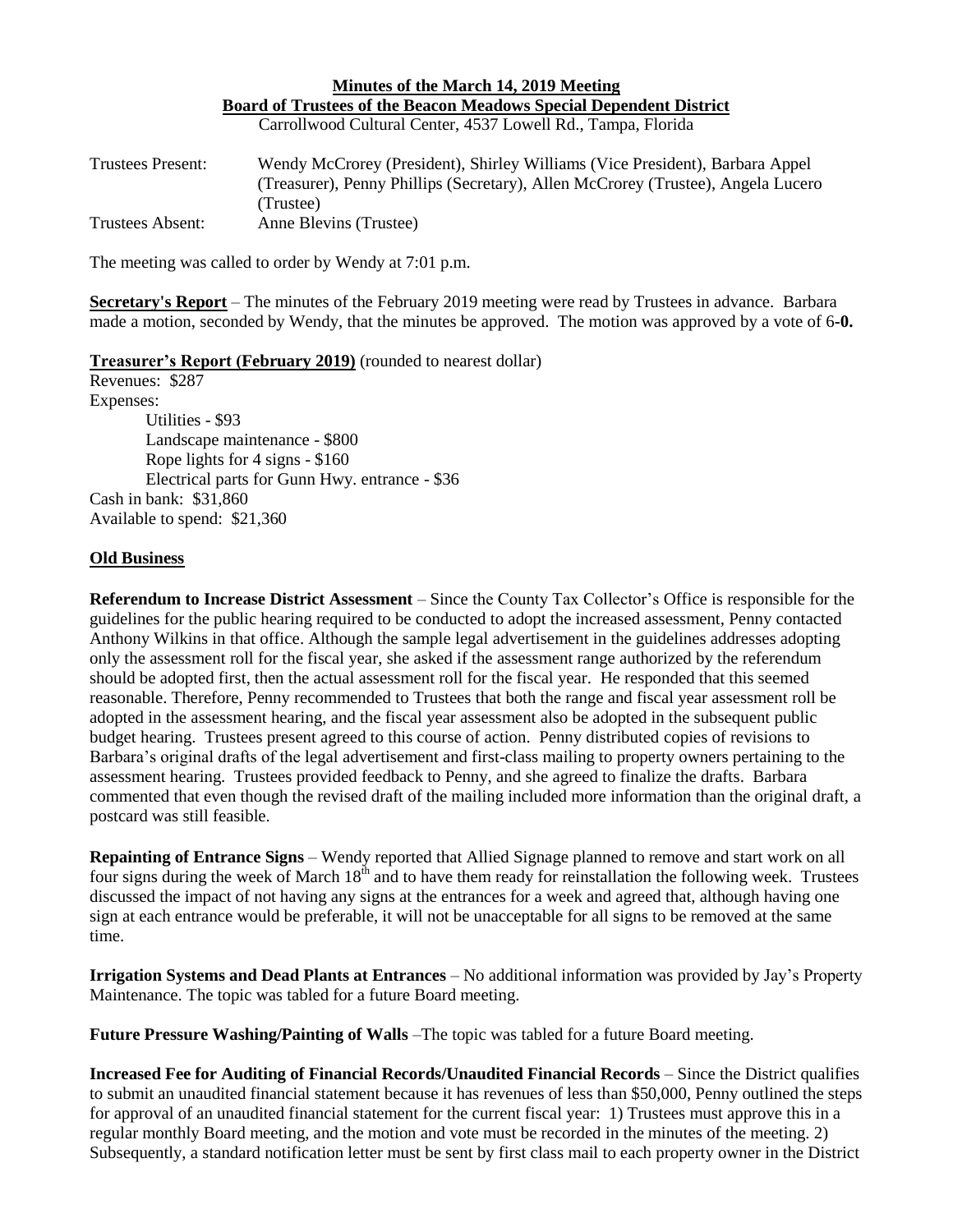## **Minutes of the March 14, 2019 Meeting Board of Trustees of the Beacon Meadows Special Dependent District**

Carrollwood Cultural Center, 4537 Lowell Rd., Tampa, Florida

| <b>Trustees Present:</b> | Wendy McCrorey (President), Shirley Williams (Vice President), Barbara Appel     |
|--------------------------|----------------------------------------------------------------------------------|
|                          | (Treasurer), Penny Phillips (Secretary), Allen McCrorey (Trustee), Angela Lucero |
|                          | (Trustee)                                                                        |
| Trustees Absent:         | Anne Blevins (Trustee)                                                           |

The meeting was called to order by Wendy at 7:01 p.m.

**Secretary's Report** – The minutes of the February 2019 meeting were read by Trustees in advance. Barbara made a motion, seconded by Wendy, that the minutes be approved. The motion was approved by a vote of 6**-0.**

## **Treasurer's Report (February 2019)** (rounded to nearest dollar)

Revenues: \$287 Expenses: Utilities - \$93 Landscape maintenance - \$800 Rope lights for 4 signs - \$160 Electrical parts for Gunn Hwy. entrance - \$36 Cash in bank: \$31,860 Available to spend: \$21,360

## **Old Business**

**Referendum to Increase District Assessment** – Since the County Tax Collector's Office is responsible for the guidelines for the public hearing required to be conducted to adopt the increased assessment, Penny contacted Anthony Wilkins in that office. Although the sample legal advertisement in the guidelines addresses adopting only the assessment roll for the fiscal year, she asked if the assessment range authorized by the referendum should be adopted first, then the actual assessment roll for the fiscal year. He responded that this seemed reasonable. Therefore, Penny recommended to Trustees that both the range and fiscal year assessment roll be adopted in the assessment hearing, and the fiscal year assessment also be adopted in the subsequent public budget hearing. Trustees present agreed to this course of action. Penny distributed copies of revisions to Barbara's original drafts of the legal advertisement and first-class mailing to property owners pertaining to the assessment hearing. Trustees provided feedback to Penny, and she agreed to finalize the drafts. Barbara commented that even though the revised draft of the mailing included more information than the original draft, a postcard was still feasible.

**Repainting of Entrance Signs** – Wendy reported that Allied Signage planned to remove and start work on all four signs during the week of March  $18<sup>th</sup>$  and to have them ready for reinstallation the following week. Trustees discussed the impact of not having any signs at the entrances for a week and agreed that, although having one sign at each entrance would be preferable, it will not be unacceptable for all signs to be removed at the same time.

**Irrigation Systems and Dead Plants at Entrances** – No additional information was provided by Jay's Property Maintenance. The topic was tabled for a future Board meeting.

**Future Pressure Washing/Painting of Walls** –The topic was tabled for a future Board meeting.

**Increased Fee for Auditing of Financial Records/Unaudited Financial Records** – Since the District qualifies to submit an unaudited financial statement because it has revenues of less than \$50,000, Penny outlined the steps for approval of an unaudited financial statement for the current fiscal year: 1) Trustees must approve this in a regular monthly Board meeting, and the motion and vote must be recorded in the minutes of the meeting. 2) Subsequently, a standard notification letter must be sent by first class mail to each property owner in the District